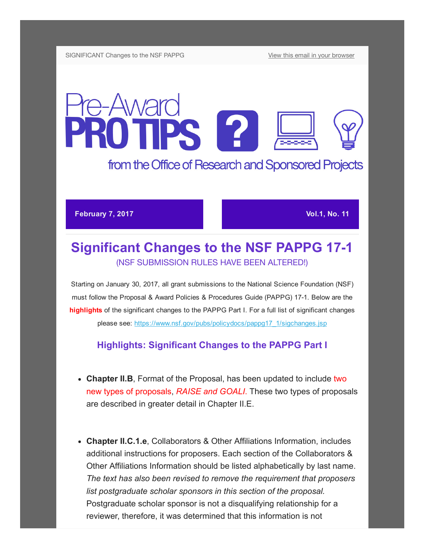# Pre-Award PROTIPS 12

# from the Office of Research and Sponsored Projects

### **February 7, 2017 Vol.1, No. 11 Vol.1, No. 11**

# **Significant Changes to the NSF PAPPG 17-1** (NSF SUBMISSION RULES HAVE BEEN ALTERED!)

Starting on January 30, 2017, all grant submissions to the National Science Foundation (NSF) must follow the Proposal & Award Policies & Procedures Guide (PAPPG) 17-1. Below are the highlights of the significant changes to the PAPPG Part I. For a full list of significant changes please see: [https://www.nsf.gov/pubs/policydocs/pappg17\\_1/sigchanges.jsp](https://www.nsf.gov/pubs/policydocs/pappg17_1/sigchanges.jsp)

## Highlights: Significant Changes to the PAPPG Part I

- Chapter II.B, Format of the Proposal, has been updated to include two new types of proposals, RAISE and GOALI. These two types of proposals are described in greater detail in Chapter II.E.
- Chapter II.C.1.e, Collaborators & Other Affiliations Information, includes additional instructions for proposers. Each section of the Collaborators & Other Affiliations Information should be listed alphabetically by last name. The text has also been revised to remove the requirement that proposers list postgraduate scholar sponsors in this section of the proposal. Postgraduate scholar sponsor is not a disqualifying relationship for a reviewer, therefore, it was determined that this information is not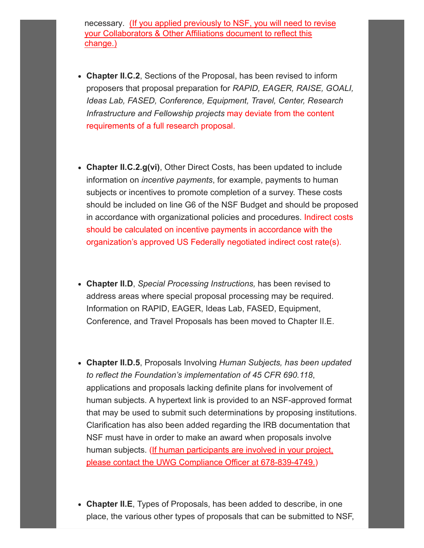necessary. (If you applied previously to NSF, you will need to revise your Colla[borators & Other](http://us13.campaign-archive2.com/home/?u=da65d94a037c71fb992ffa034&id=a25098482d) Affiliations document to reflect this change.)

- Chapter II.C.2, Sections of the Proposal, has been revised to inform proposers that proposal preparation for RAPID, EAGER, RAISE, GOALI, Ideas Lab, FASED, Conference, Equipment, Travel, Center, Research Infrastructure and Fellowship projects may deviate from the content requirements of a full research proposal.
- Chapter II.C.2.g(vi), Other Direct Costs, has been updated to include information on incentive payments, for example, payments to human subjects or incentives to promote completion of a survey. These costs should be included on line G6 of the NSF Budget and should be proposed in accordance with organizational policies and procedures. Indirect costs should be calculated on incentive payments in accordance with the organization's approved US Federally negotiated indirect cost rate(s).
- Chapter II.D, Special Processing Instructions, has been revised to address areas where special proposal processing may be required. Information on RAPID, EAGER, Ideas Lab, FASED, Equipment, Conference, and Travel Proposals has been moved to Chapter II.E.
- Chapter II.D.5, Proposals Involving Human Subjects, has been updated to reflect the Foundation's implementation of 45 CFR 690.118, applications and proposals lacking definite plans for involvement of human subjects. A hypertext link is provided to an NSF-approved format that may be used to submit such determinations by proposing institutions. Clarification has also been added regarding the IRB documentation that NSF must have in order to make an award when proposals involve human subjects. (If human participants are involved in your project, please contact the UWG Compliance Officer at 678-839-4749.)
- Chapter II.E, Types of Proposals, has been added to describe, in one place, the various other types of proposals that can be submitted to NSF,